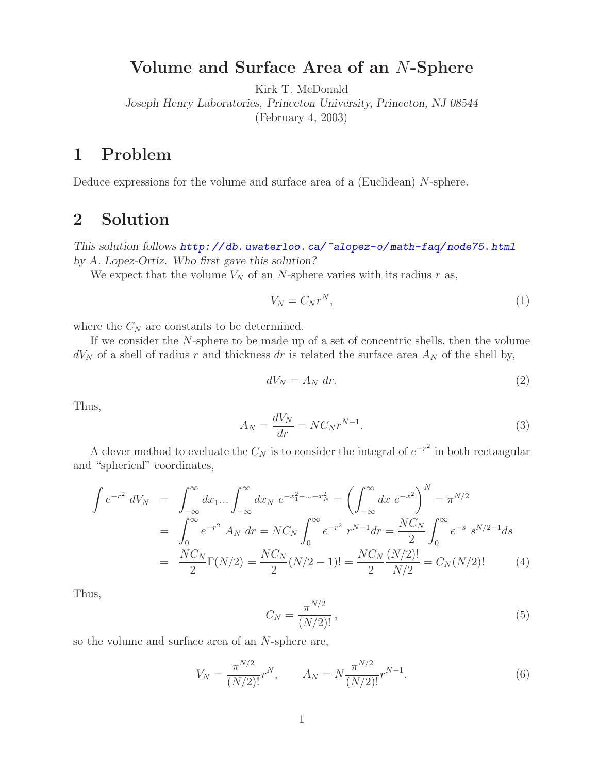## **Volume and Surface Area of an** N**-Sphere**

Kirk T. McDonald

*Joseph Henry Laboratories, Princeton University, Princeton, NJ 08544* (February 4, 2003)

## **1 Problem**

Deduce expressions for the volume and surface area of a (Euclidean) N-sphere.

## **2 Solution**

*This solution follows*  $http://db. uwaterloo.ca/~alopez-o/math-faq/node75.html$ *<br>by A. Lopez-Ortiz. Who first gave this solution?* 

We expect that the volume  $V_N$  of an N-sphere varies with its radius r as,

$$
V_N = C_N r^N,\tag{1}
$$

where the  $C_N$  are constants to be determined.

If we consider the N-sphere to be made up of a set of concentric shells, then the volume  $dV_N$  of a shell of radius r and thickness dr is related the surface area  $A_N$  of the shell by,

$$
dV_N = A_N dr.
$$
 (2)

Thus,

$$
A_N = \frac{dV_N}{dr} = N C_N r^{N-1}.
$$
\n(3)

A clever method to eveluate the  $C_N$  is to consider the integral of  $e^{-r^2}$  in both rectangular and "spherical" coordinates,

$$
\int e^{-r^2} dV_N = \int_{-\infty}^{\infty} dx_1 \dots \int_{-\infty}^{\infty} dx_N e^{-x_1^2 - \dots - x_N^2} = \left( \int_{-\infty}^{\infty} dx e^{-x^2} \right)^N = \pi^{N/2}
$$

$$
= \int_{0}^{\infty} e^{-r^2} A_N dr = NC_N \int_{0}^{\infty} e^{-r^2} r^{N-1} dr = \frac{NC_N}{2} \int_{0}^{\infty} e^{-s} s^{N/2-1} ds
$$

$$
= \frac{NC_N}{2} \Gamma(N/2) = \frac{NC_N}{2} (N/2 - 1)! = \frac{NC_N}{2} \frac{(N/2)!}{N/2} = C_N (N/2)! \tag{4}
$$

Thus,

$$
C_N = \frac{\pi^{N/2}}{(N/2)!},
$$
\n(5)

so the volume and surface area of an N-sphere are,

$$
V_N = \frac{\pi^{N/2}}{(N/2)!} r^N, \qquad A_N = N \frac{\pi^{N/2}}{(N/2)!} r^{N-1}.
$$
 (6)